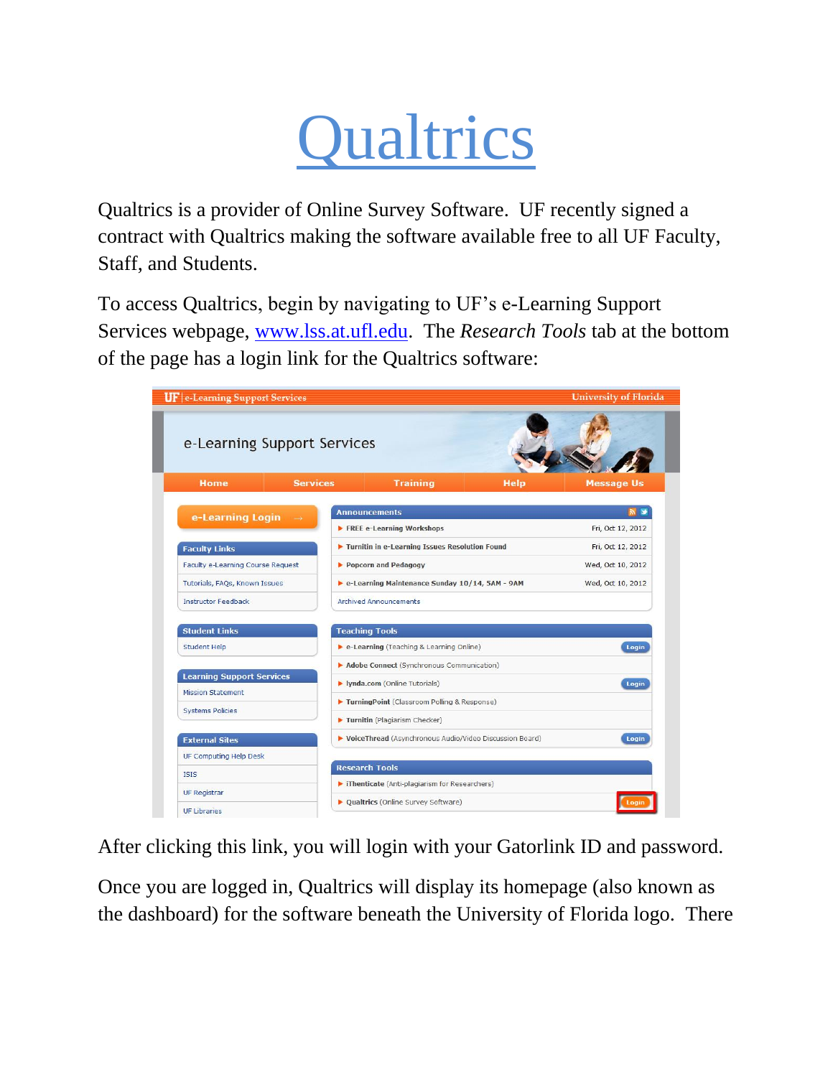## **Qualtrics**

Qualtrics is a provider of Online Survey Software. UF recently signed a contract with Qualtrics making the software available free to all UF Faculty, Staff, and Students.

To access Qualtrics, begin by navigating to UF's e-Learning Support Services webpage, [www.lss.at.ufl.edu.](http://www.lss.at.ufl.edu/) The *Research Tools* tab at the bottom of the page has a login link for the Qualtrics software:



After clicking this link, you will login with your Gatorlink ID and password.

Once you are logged in, Qualtrics will display its homepage (also known as the dashboard) for the software beneath the University of Florida logo. There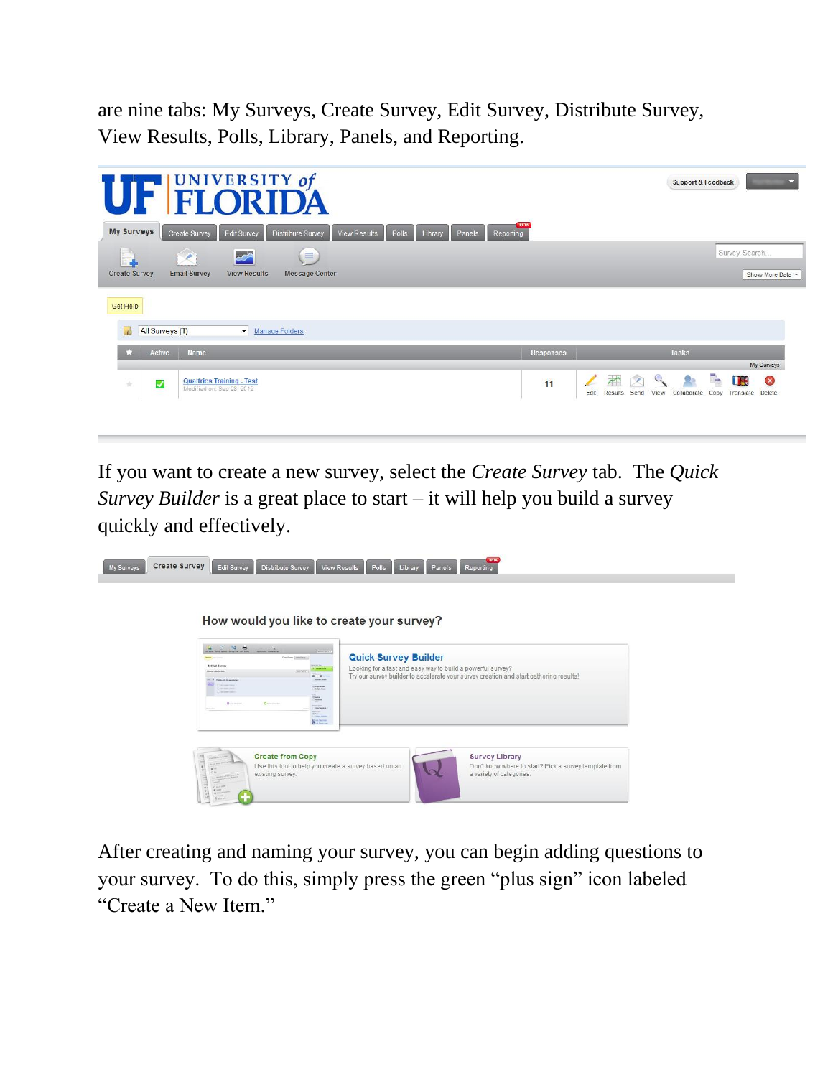are nine tabs: My Surveys, Create Survey, Edit Survey, Distribute Survey, View Results, Polls, Library, Panels, and Reporting.



If you want to create a new survey, select the *Create Survey* tab. The *Quick Survey Builder* is a great place to start – it will help you build a survey quickly and effectively.

| La .<br>sales marked<br>to a risk holiday before the factor from<br>Grecken masters.c<br><b>United Survey</b><br><b>TOTAL FINANCING</b><br><b>Dec Seles</b>                                                                                          | $\frac{1}{2} \left( \frac{1}{2} \frac{1}{2} \right) \left( \frac{1}{2} \frac{1}{2} \right) \left( \frac{1}{2} \right) \left( \frac{1}{2} \right)$<br><b>Quick Survey Builder</b><br>Looking for a fast and easy way to build a powerful survey?<br><b><i><u>PARK</u></i></b> |
|------------------------------------------------------------------------------------------------------------------------------------------------------------------------------------------------------------------------------------------------------|------------------------------------------------------------------------------------------------------------------------------------------------------------------------------------------------------------------------------------------------------------------------------|
| 21 If can average appear as<br>Telephone Company<br>Chevrolet (Health)<br>Text.<br>Third is well limited<br>$\frac{1}{2} \frac{1}{4 \pi \sqrt{2} \pi}$<br><b>Anti-</b><br><b>Quintered</b><br>$Q$ matrices that<br><b>CONTRACTOR</b><br>market sings | Try our survey builder to accelerate your survey creation and start gathering results!<br>$0.10 - 10$<br><b>Elegance</b><br>(First beginn)                                                                                                                                   |
| Sinker."                                                                                                                                                                                                                                             | Color more!<br><b>Quitactor</b><br><b>Distances</b>                                                                                                                                                                                                                          |

After creating and naming your survey, you can begin adding questions to your survey. To do this, simply press the green "plus sign" icon labeled "Create a New Item."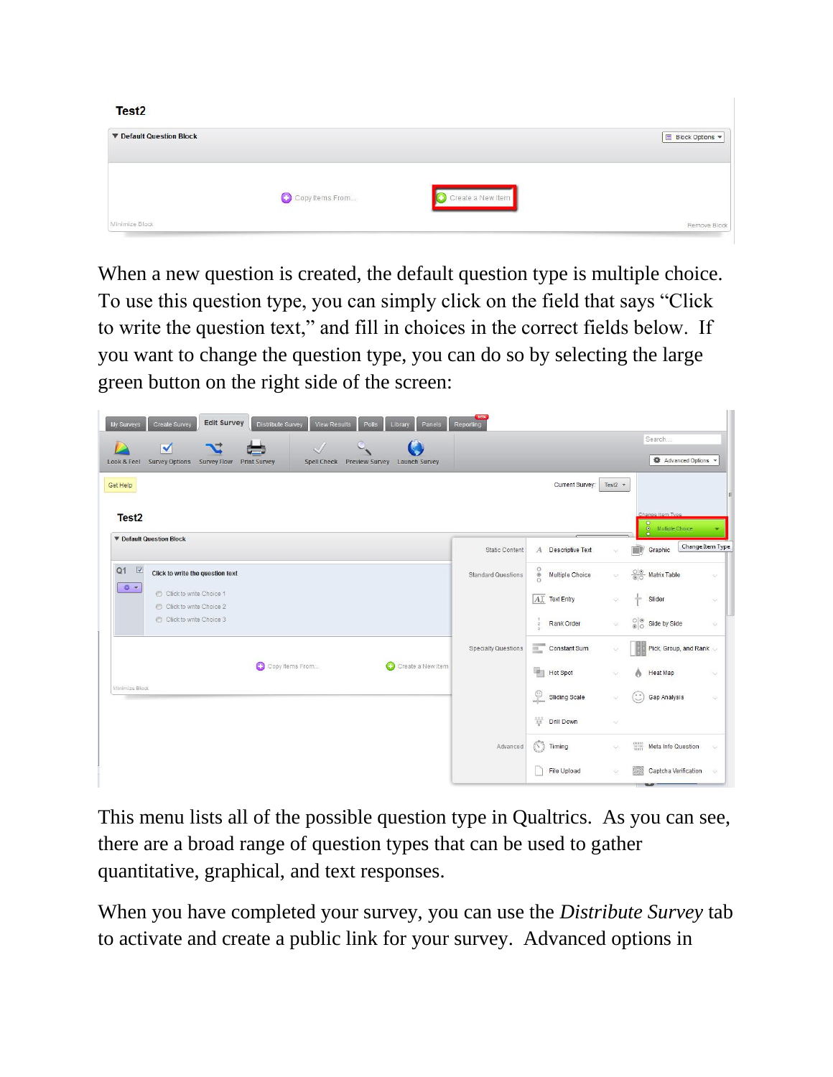| Test <sub>2</sub>               |                         |                   |               |
|---------------------------------|-------------------------|-------------------|---------------|
| <b>V</b> Default Question Block |                         |                   | Block Options |
|                                 | Copy Items From<br>a an | Create a New Item |               |
| Minimize Block                  |                         |                   | Remove Block  |

When a new question is created, the default question type is multiple choice. To use this question type, you can simply click on the field that says "Click to write the question text," and fill in choices in the correct fields below. If you want to change the question type, you can do so by selecting the large green button on the right side of the screen:

| <b>Edit Survey</b><br>Distribute Survey<br>My Surveys<br>Create Survey<br><b>View Results</b><br>Polls<br>Library<br>Panels<br>$\blacktriangledown$<br><b>C</b><br><b>Survey Options</b><br>Look & Feel<br><b>Survey Flow</b><br><b>Print Survey</b><br>Spell Check Preview Survey<br><b>Launch Survey</b> | BETA<br>Reporting          |                                                     |                       | Search<br>Advanced Options                       |               |
|------------------------------------------------------------------------------------------------------------------------------------------------------------------------------------------------------------------------------------------------------------------------------------------------------------|----------------------------|-----------------------------------------------------|-----------------------|--------------------------------------------------|---------------|
| Get Help<br>Test <sub>2</sub>                                                                                                                                                                                                                                                                              |                            | Current Survey:                                     | Test2 $\star$         | Change Item Type<br>$\bullet$                    |               |
| <b>V</b> Default Question Block                                                                                                                                                                                                                                                                            | <b>Static Content</b>      | A Descriptive Text                                  |                       | O Multiple Choice<br>Change Item Type<br>Graphic |               |
| $\sqrt{2}$<br>Q1<br>Click to write the question text                                                                                                                                                                                                                                                       | <b>Standard Questions</b>  | 000<br>Multiple Choice                              | $\heartsuit$          | $\frac{\circledcirc}{\circledcirc}$ Matrix Table | $\heartsuit$  |
| 设计<br>C Click to write Choice 1<br>Click to write Choice 2                                                                                                                                                                                                                                                 |                            | AT Text Entry                                       | ×                     | ÷<br>Slider                                      | $\heartsuit$  |
| C Click to write Choice 3                                                                                                                                                                                                                                                                                  |                            | Rank Order<br>$\bar{2}$                             | $\mathbf{v}$          | $\frac{\circ}{\circ}$ Side by Side               | $\heartsuit$  |
|                                                                                                                                                                                                                                                                                                            | <b>Specialty Questions</b> | Constant Sum                                        |                       | Pick, Group, and Rank                            |               |
| Copy Items From<br>Create a New Item                                                                                                                                                                                                                                                                       |                            | 叶<br><b>Hot Spot</b>                                | $\checkmark$          | <b>Heat Map</b><br>٨                             | $\vee$        |
| Minimize Block                                                                                                                                                                                                                                                                                             |                            | $\frac{\odot}{\odot}$<br>Sliding Scale              | $\mathcal{Q}$         | Gap Analysis                                     | $\infty$      |
|                                                                                                                                                                                                                                                                                                            |                            | $\frac{\sigma+\gamma}{\sigma-\gamma}$<br>Drill Down | $\boldsymbol{\nabla}$ |                                                  |               |
|                                                                                                                                                                                                                                                                                                            | Advanced                   | Timing                                              | $\heartsuit$          | Meta Info Question                               | $\ddot{\vee}$ |
|                                                                                                                                                                                                                                                                                                            |                            | File Upload                                         |                       | Captcha Verification                             | $\vee$        |

This menu lists all of the possible question type in Qualtrics. As you can see, there are a broad range of question types that can be used to gather quantitative, graphical, and text responses.

When you have completed your survey, you can use the *Distribute Survey* tab to activate and create a public link for your survey. Advanced options in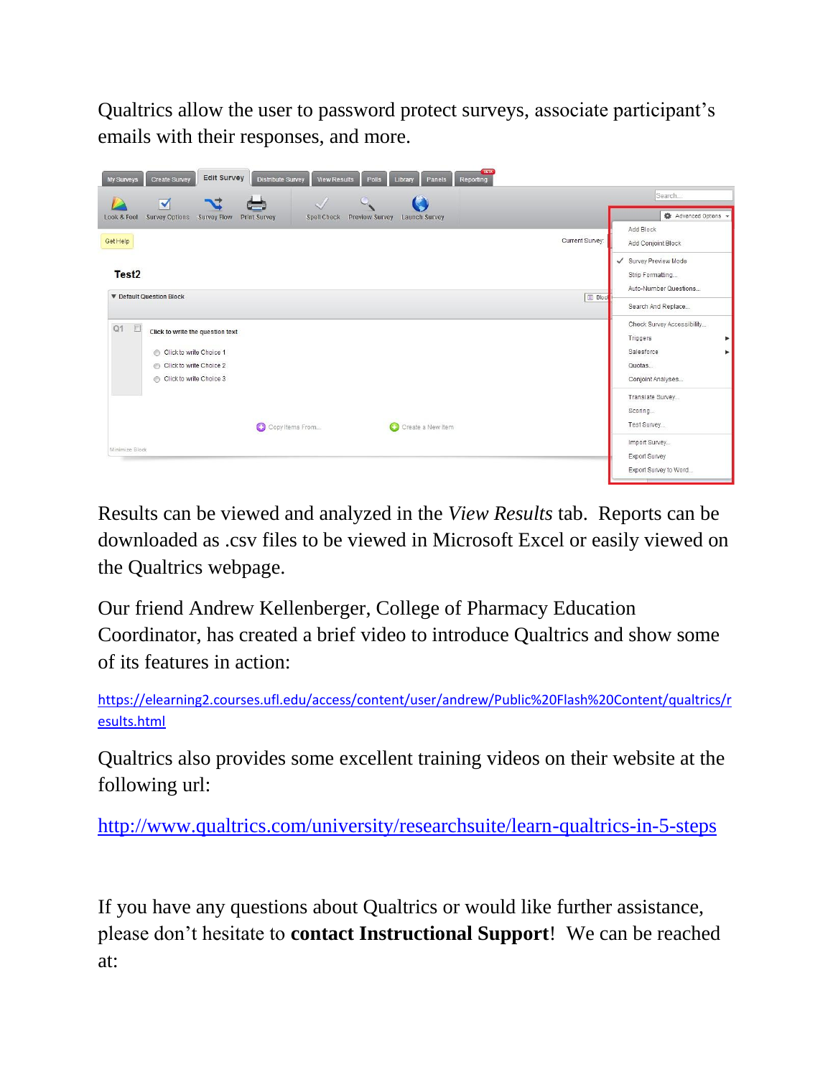Qualtrics allow the user to password protect surveys, associate participant's emails with their responses, and more.



Results can be viewed and analyzed in the *View Results* tab. Reports can be downloaded as .csv files to be viewed in Microsoft Excel or easily viewed on the Qualtrics webpage.

Our friend Andrew Kellenberger, College of Pharmacy Education Coordinator, has created a brief video to introduce Qualtrics and show some of its features in action:

[https://elearning2.courses.ufl.edu/access/content/user/andrew/Public%20Flash%20Content/qualtrics/r](https://elearning2.courses.ufl.edu/access/content/user/andrew/Public%20Flash%20Content/qualtrics/results.html) [esults.html](https://elearning2.courses.ufl.edu/access/content/user/andrew/Public%20Flash%20Content/qualtrics/results.html)

Qualtrics also provides some excellent training videos on their website at the following url:

<http://www.qualtrics.com/university/researchsuite/learn-qualtrics-in-5-steps>

If you have any questions about Qualtrics or would like further assistance, please don't hesitate to **contact Instructional Support**! We can be reached at: